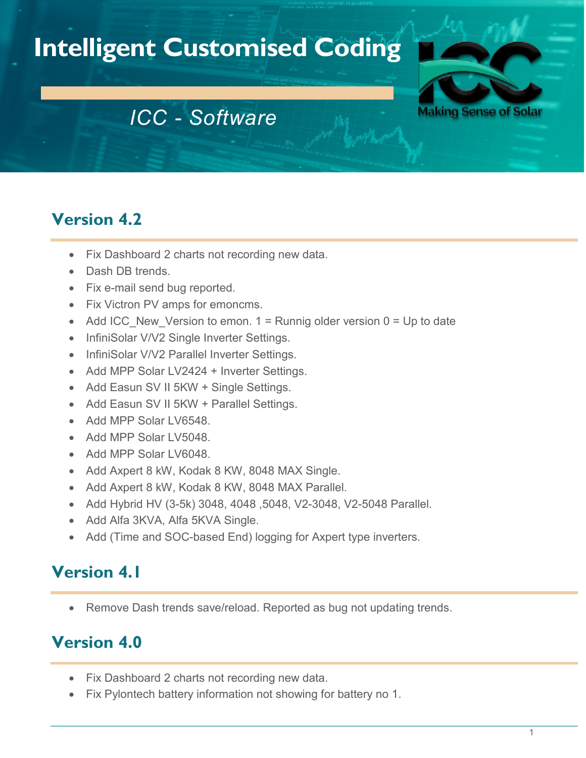# **Intelligent Customised Coding**



## *ICC - Software*

## **Version 4.2**

- Fix Dashboard 2 charts not recording new data.
- Dash DB trends
- Fix e-mail send bug reported.
- Fix Victron PV amps for emoncms.
- Add ICC New Version to emon.  $1 =$  Runnig older version  $0 =$  Up to date
- InfiniSolar V/V2 Single Inverter Settings.
- InfiniSolar V/V2 Parallel Inverter Settings.
- Add MPP Solar LV2424 + Inverter Settings.
- Add Easun SV II 5KW + Single Settings.
- Add Easun SV II 5KW + Parallel Settings.
- Add MPP Solar LV6548.
- Add MPP Solar LV5048.
- Add MPP Solar LV6048.
- Add Axpert 8 kW, Kodak 8 KW, 8048 MAX Single.
- Add Axpert 8 kW, Kodak 8 KW, 8048 MAX Parallel.
- Add Hybrid HV (3-5k) 3048, 4048 ,5048, V2-3048, V2-5048 Parallel.
- Add Alfa 3KVA, Alfa 5KVA Single.
- Add (Time and SOC-based End) logging for Axpert type inverters.

#### **Version 4.1**

Remove Dash trends save/reload. Reported as bug not updating trends.

## **Version 4.0**

- Fix Dashboard 2 charts not recording new data.
- Fix Pylontech battery information not showing for battery no 1.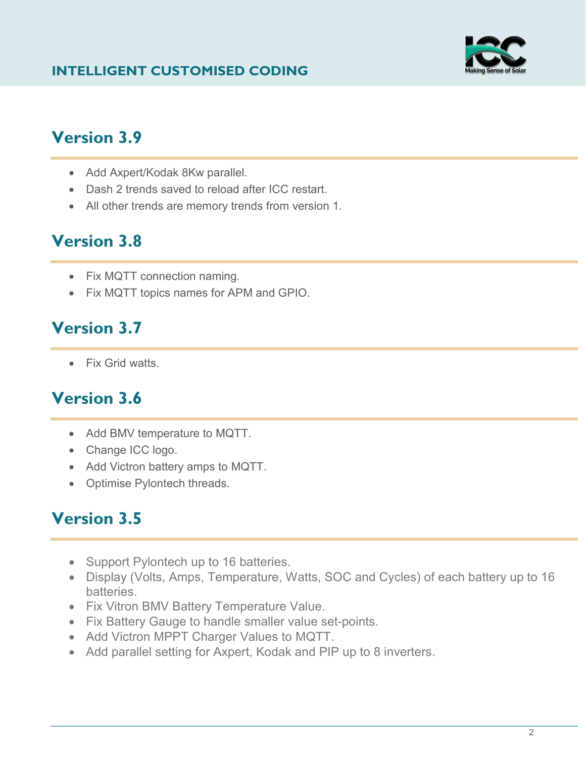#### **INTELLIGENT CUSTOMISED CODING**



#### **Version 3.9**

- Add Axpert/Kodak 8Kw parallel.
- Dash 2 trends saved to reload after ICC restart.
- All other trends are memory trends from version 1.

## **Version 3.8**

- Fix MQTT connection naming.
- Fix MQTT topics names for APM and GPIO.

#### **Version 3.7**

• Fix Grid watts.

## **Version 3.6**

- Add BMV temperature to MQTT.
- Change ICC logo.
- Add Victron battery amps to MQTT.
- Optimise Pylontech threads.

#### **Version 3.5**

- Support Pylontech up to 16 batteries.
- Display (Volts, Amps, Temperature, Watts, SOC and Cycles) of each battery up to 16 batteries.
- Fix Vitron BMV Battery Temperature Value.
- Fix Battery Gauge to handle smaller value set-points.
- Add Victron MPPT Charger Values to MQTT.
- Add parallel setting for Axpert, Kodak and PIP up to 8 inverters.